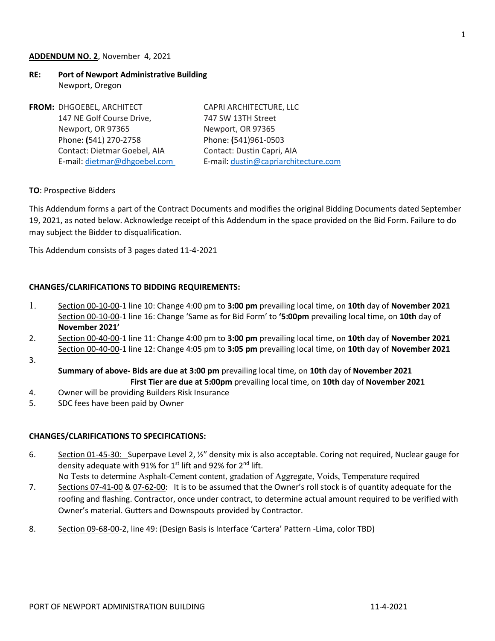#### **ADDENDUM NO. 2**, November 4, 2021

## **RE: Port of Newport Administrative Building** Newport, Oregon

| FROM: DHGOEBEL, ARCHITECT    | CAPRI ARCHITECTURE, LLC              |
|------------------------------|--------------------------------------|
| 147 NE Golf Course Drive,    | 747 SW 13TH Street                   |
| Newport, OR 97365            | Newport, OR 97365                    |
| Phone: (541) 270-2758        | Phone: (541)961-0503                 |
| Contact: Dietmar Goebel, AIA | Contact: Dustin Capri, AIA           |
| E-mail: dietmar@dhgoebel.com | E-mail: dustin@capriarchitecture.com |
|                              |                                      |

#### **TO**: Prospective Bidders

This Addendum forms a part of the Contract Documents and modifies the original Bidding Documents dated September 19, 2021, as noted below. Acknowledge receipt of this Addendum in the space provided on the Bid Form. Failure to do may subject the Bidder to disqualification.

This Addendum consists of 3 pages dated 11-4-2021

#### **CHANGES/CLARIFICATIONS TO BIDDING REQUIREMENTS:**

- 1. Section 00-10-00-1 line 10: Change 4:00 pm to **3:00 pm** prevailing local time, on **10th** day of **November 2021**  Section 00-10-00-1 line 16: Change 'Same as for Bid Form' to **'5:00pm** prevailing local time, on **10th** day of **November 2021'**
- 2. Section 00-40-00-1 line 11: Change 4:00 pm to **3:00 pm** prevailing local time, on **10th** day of **November 2021**  Section 00-40-00-1 line 12: Change 4:05 pm to **3:05 pm** prevailing local time, on **10th** day of **November 2021**
- 3.

**Summary of above- Bids are due at 3:00 pm** prevailing local time, on **10th** day of **November 2021 First Tier are due at 5:00pm** prevailing local time, on **10th** day of **November 2021**

- 4. Owner will be providing Builders Risk Insurance
- 5. SDC fees have been paid by Owner

#### **CHANGES/CLARIFICATIONS TO SPECIFICATIONS:**

6. Section 01-45-30: Superpave Level 2, 1/2" density mix is also acceptable. Coring not required, Nuclear gauge for density adequate with 91% for 1<sup>st</sup> lift and 92% for 2<sup>nd</sup> lift.

No Tests to determine Asphalt-Cement content, gradation of Aggregate, Voids, Temperature required

- 7. Sections 07-41-00 & 07-62-00: It is to be assumed that the Owner's roll stock is of quantity adequate for the roofing and flashing. Contractor, once under contract, to determine actual amount required to be verified with Owner's material. Gutters and Downspouts provided by Contractor.
- 8. Section 09-68-00-2, line 49: (Design Basis is Interface 'Cartera' Pattern -Lima, color TBD)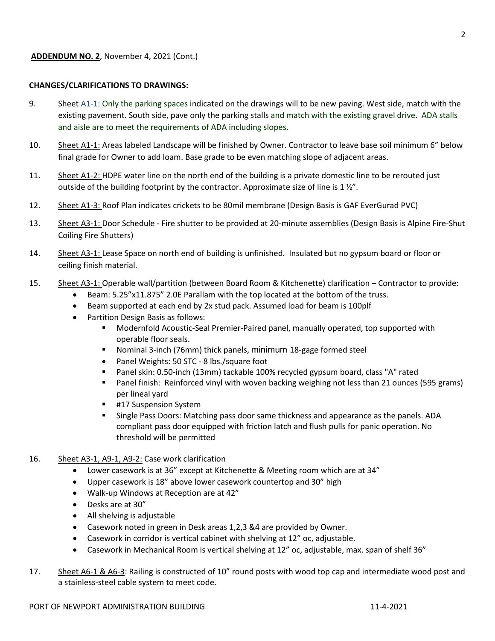## **CHANGES/CLARIFICATIONS TO DRAWINGS:**

- 9. Sheet A1-1: Only the parking spaces indicated on the drawings will to be new paving. West side, match with the existing pavement. South side, pave only the parking stalls and match with the existing gravel drive. ADA stalls and aisle are to meet the requirements of ADA including slopes.
- 10. Sheet A1-1: Areas labeled Landscape will be finished by Owner. Contractor to leave base soil minimum 6" below final grade for Owner to add loam. Base grade to be even matching slope of adjacent areas.
- 11. Sheet A1-2: HDPE water line on the north end of the building is a private domestic line to be rerouted just outside of the building footprint by the contractor. Approximate size of line is 1 1/2".
- 12. Sheet A1-3: Roof Plan indicates crickets to be 80mil membrane (Design Basis is GAF EverGurad PVC)
- 13. Sheet A3-1: Door Schedule Fire shutter to be provided at 20-minute assemblies (Design Basis is Alpine Fire-Shut Coiling Fire Shutters)
- 14. Sheet A3-1: Lease Space on north end of building is unfinished. Insulated but no gypsum board or floor or ceiling finish material.
- 15. Sheet A3-1: Operable wall/partition (between Board Room & Kitchenette) clarification Contractor to provide:
	- Beam: 5.25"x11.875" 2.0E Parallam with the top located at the bottom of the truss.
	- Beam supported at each end by 2x stud pack. Assumed load for beam is 100plf
	- Partition Design Basis as follows:
		- **Modernfold Acoustic-Seal Premier-Paired panel, manually operated, top supported with** operable floor seals.
		- Nominal 3-inch (76mm) thick panels, minimum 18-gage formed steel
		- Panel Weights: 50 STC 8 lbs./square foot
		- Panel skin: 0.50-inch (13mm) tackable 100% recycled gypsum board, class "A" rated
		- Panel finish: Reinforced vinyl with woven backing weighing not less than 21 ounces (595 grams) per lineal yard
		- #17 Suspension System
		- Single Pass Doors: Matching pass door same thickness and appearance as the panels. ADA compliant pass door equipped with friction latch and flush pulls for panic operation. No threshold will be permitted
- 16. Sheet A3-1, A9-1, A9-2: Case work clarification
	- Lower casework is at 36" except at Kitchenette & Meeting room which are at 34"
	- Upper casework is 18" above lower casework countertop and 30" high
	- Walk-up Windows at Reception are at 42"
	- Desks are at 30"
	- All shelving is adjustable
	- Casework noted in green in Desk areas 1,2,3 &4 are provided by Owner.
	- Casework in corridor is vertical cabinet with shelving at 12" oc, adjustable.
	- Casework in Mechanical Room is vertical shelving at 12" oc, adjustable, max. span of shelf 36"
- 17. Sheet A6-1 & A6-3: Railing is constructed of 10" round posts with wood top cap and intermediate wood post and a stainless-steel cable system to meet code.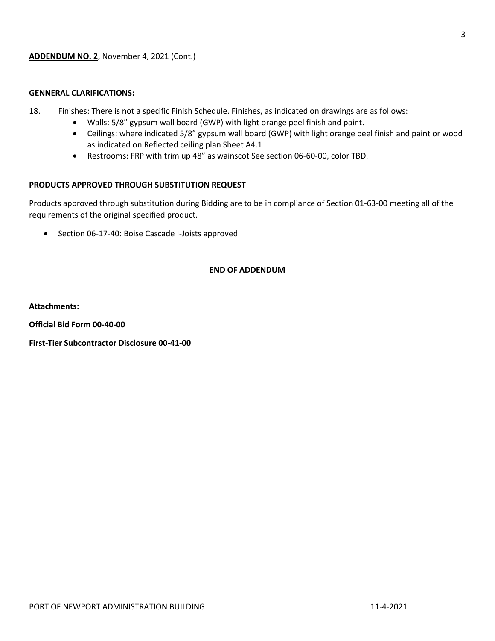## **GENNERAL CLARIFICATIONS:**

- 18. Finishes: There is not a specific Finish Schedule. Finishes, as indicated on drawings are as follows:
	- Walls: 5/8" gypsum wall board (GWP) with light orange peel finish and paint.
	- Ceilings: where indicated 5/8" gypsum wall board (GWP) with light orange peel finish and paint or wood as indicated on Reflected ceiling plan Sheet A4.1
	- Restrooms: FRP with trim up 48" as wainscot See section 06-60-00, color TBD.

## **PRODUCTS APPROVED THROUGH SUBSTITUTION REQUEST**

Products approved through substitution during Bidding are to be in compliance of Section 01-63-00 meeting all of the requirements of the original specified product.

• Section 06-17-40: Boise Cascade I-Joists approved

## **END OF ADDENDUM**

**Attachments:** 

**Official Bid Form 00-40-00**

**First-Tier Subcontractor Disclosure 00-41-00**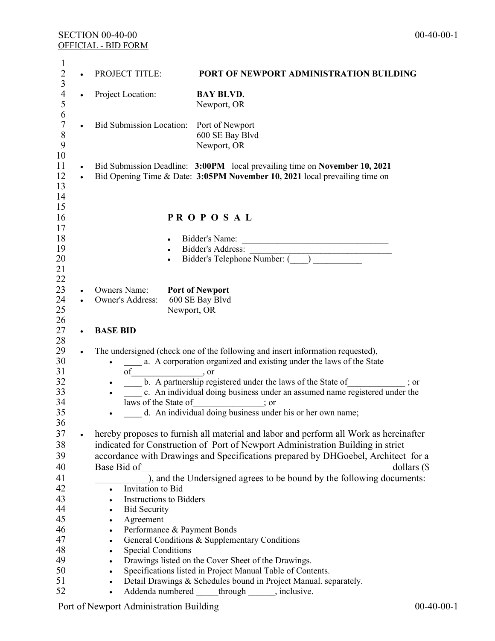| 1<br>$\overline{c}$                   |                        | <b>PROJECT TITLE:</b>                                                             | PORT OF NEWPORT ADMINISTRATION BUILDING                                                                                                                  |  |  |
|---------------------------------------|------------------------|-----------------------------------------------------------------------------------|----------------------------------------------------------------------------------------------------------------------------------------------------------|--|--|
| $\mathfrak{Z}$<br>$\overline{4}$<br>5 | $\bullet$              | Project Location:                                                                 | <b>BAY BLVD.</b><br>Newport, OR                                                                                                                          |  |  |
| 6<br>$\sqrt{ }$<br>$8\,$<br>9         | $\bullet$              | <b>Bid Submission Location:</b>                                                   | Port of Newport<br>600 SE Bay Blvd<br>Newport, OR                                                                                                        |  |  |
| 10<br>11<br>12<br>13<br>14            | $\bullet$<br>$\bullet$ |                                                                                   | Bid Submission Deadline: 3:00PM local prevailing time on November 10, 2021<br>Bid Opening Time & Date: 3:05PM November 10, 2021 local prevailing time on |  |  |
| 15<br>16<br>17                        |                        |                                                                                   | <b>PROPOSAL</b>                                                                                                                                          |  |  |
| 18                                    |                        | $\bullet$                                                                         | Bidder's Name:<br><u> 2008 - Jan James James James James James James James James James James James James James James James James Ja</u>                  |  |  |
| 19                                    |                        | $\bullet$                                                                         | Bidder's Address:                                                                                                                                        |  |  |
| 20                                    |                        |                                                                                   | Bidder's Telephone Number: (COMPLETED CONTROLS                                                                                                           |  |  |
| 21                                    |                        |                                                                                   |                                                                                                                                                          |  |  |
| 22<br>23                              |                        | <b>Owners Name:</b>                                                               | <b>Port of Newport</b>                                                                                                                                   |  |  |
| 24                                    | $\bullet$<br>$\bullet$ | Owner's Address:                                                                  | 600 SE Bay Blvd                                                                                                                                          |  |  |
| 25                                    |                        | Newport, OR                                                                       |                                                                                                                                                          |  |  |
| 26                                    |                        |                                                                                   |                                                                                                                                                          |  |  |
| 27                                    | $\bullet$              | <b>BASE BID</b>                                                                   |                                                                                                                                                          |  |  |
| 28                                    |                        |                                                                                   |                                                                                                                                                          |  |  |
| 29<br>30                              |                        | ٠                                                                                 | The undersigned (check one of the following and insert information requested),<br>a. A corporation organized and existing under the laws of the State    |  |  |
| 31<br>32                              |                        | of                                                                                | , or                                                                                                                                                     |  |  |
| 33                                    |                        | ٠                                                                                 | b. A partnership registered under the laws of the State of<br>; or<br>c. An individual doing business under an assumed name registered under the         |  |  |
| 34                                    |                        | laws of the State of                                                              | $\therefore$ or                                                                                                                                          |  |  |
| 35                                    |                        |                                                                                   | d. An individual doing business under his or her own name;                                                                                               |  |  |
| 36                                    |                        |                                                                                   |                                                                                                                                                          |  |  |
| 37                                    |                        |                                                                                   | hereby proposes to furnish all material and labor and perform all Work as hereinafter                                                                    |  |  |
| 38                                    |                        |                                                                                   | indicated for Construction of Port of Newport Administration Building in strict                                                                          |  |  |
| 39                                    |                        | accordance with Drawings and Specifications prepared by DHGoebel, Architect for a |                                                                                                                                                          |  |  |
| 40                                    |                        | Base Bid of                                                                       | dollars $(\$$                                                                                                                                            |  |  |
| 41                                    |                        |                                                                                   | $\frac{1}{2}$ , and the Undersigned agrees to be bound by the following documents:                                                                       |  |  |
| 42                                    |                        | Invitation to Bid<br>$\bullet$                                                    |                                                                                                                                                          |  |  |
| 43<br>44                              |                        | <b>Instructions to Bidders</b><br>$\bullet$                                       |                                                                                                                                                          |  |  |
| 45                                    |                        | <b>Bid Security</b><br>$\bullet$<br>Agreement                                     |                                                                                                                                                          |  |  |
| 46                                    |                        | $\bullet$<br>Performance & Payment Bonds<br>$\bullet$                             |                                                                                                                                                          |  |  |
| 47                                    |                        | $\bullet$                                                                         | General Conditions & Supplementary Conditions                                                                                                            |  |  |
| 48                                    |                        | <b>Special Conditions</b><br>$\bullet$                                            |                                                                                                                                                          |  |  |
| 49                                    |                        | $\bullet$                                                                         | Drawings listed on the Cover Sheet of the Drawings.                                                                                                      |  |  |
| 50                                    |                        | $\bullet$                                                                         | Specifications listed in Project Manual Table of Contents.                                                                                               |  |  |
| 51                                    |                        | $\bullet$                                                                         | Detail Drawings & Schedules bound in Project Manual. separately.                                                                                         |  |  |
| 52                                    |                        | $\bullet$                                                                         | Addenda numbered ______ through _______, inclusive.                                                                                                      |  |  |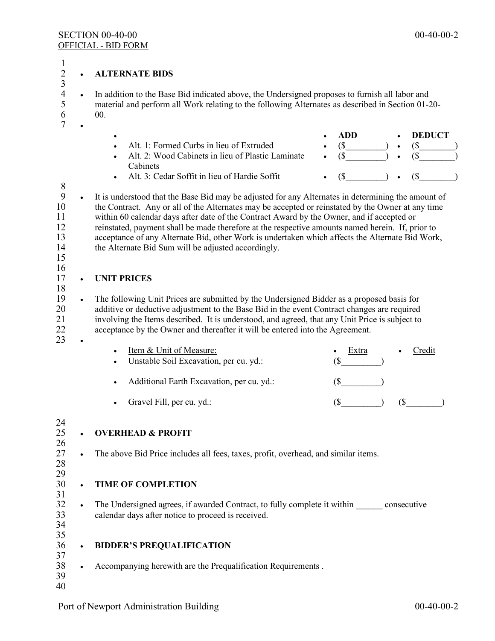2 • **ALTERNATE BIDS**

1

 $\frac{5}{40}$ 

| 3<br>$\overline{\mathcal{A}}$<br>5<br>6<br>7                                                       |           | In addition to the Base Bid indicated above, the Undersigned proposes to furnish all labor and<br>material and perform all Work relating to the following Alternates as described in Section 01-20-<br>00.                                                                                                                                                                                                                                                                                                                                                         |                                                                                          |  |  |  |  |  |  |
|----------------------------------------------------------------------------------------------------|-----------|--------------------------------------------------------------------------------------------------------------------------------------------------------------------------------------------------------------------------------------------------------------------------------------------------------------------------------------------------------------------------------------------------------------------------------------------------------------------------------------------------------------------------------------------------------------------|------------------------------------------------------------------------------------------|--|--|--|--|--|--|
|                                                                                                    |           | Alt. 1: Formed Curbs in lieu of Extruded<br>Alt. 2: Wood Cabinets in lieu of Plastic Laminate<br>Cabinets<br>Alt. 3: Cedar Soffit in lieu of Hardie Soffit                                                                                                                                                                                                                                                                                                                                                                                                         | <b>ADD</b><br><b>DEDUCT</b><br>$(S_$<br>$(S -$<br>$\left( \text{\$} \right)$<br>(S)<br>( |  |  |  |  |  |  |
| 8<br>9<br>10<br>11<br>12<br>13<br>14<br>15                                                         | $\bullet$ | It is understood that the Base Bid may be adjusted for any Alternates in determining the amount of<br>the Contract. Any or all of the Alternates may be accepted or reinstated by the Owner at any time<br>within 60 calendar days after date of the Contract Award by the Owner, and if accepted or<br>reinstated, payment shall be made therefore at the respective amounts named herein. If, prior to<br>acceptance of any Alternate Bid, other Work is undertaken which affects the Alternate Bid Work,<br>the Alternate Bid Sum will be adjusted accordingly. |                                                                                          |  |  |  |  |  |  |
| 16<br>17                                                                                           |           | <b>UNIT PRICES</b>                                                                                                                                                                                                                                                                                                                                                                                                                                                                                                                                                 |                                                                                          |  |  |  |  |  |  |
| 18<br>19<br>20<br>21<br>22<br>23                                                                   | $\bullet$ | The following Unit Prices are submitted by the Undersigned Bidder as a proposed basis for<br>additive or deductive adjustment to the Base Bid in the event Contract changes are required<br>involving the Items described. It is understood, and agreed, that any Unit Price is subject to<br>acceptance by the Owner and thereafter it will be entered into the Agreement.                                                                                                                                                                                        |                                                                                          |  |  |  |  |  |  |
|                                                                                                    |           | Item & Unit of Measure:<br>Unstable Soil Excavation, per cu. yd.:                                                                                                                                                                                                                                                                                                                                                                                                                                                                                                  | Extra<br>Credit<br>$($ \$                                                                |  |  |  |  |  |  |
|                                                                                                    |           | Additional Earth Excavation, per cu. yd.:<br>$\bullet$                                                                                                                                                                                                                                                                                                                                                                                                                                                                                                             | (                                                                                        |  |  |  |  |  |  |
|                                                                                                    |           | Gravel Fill, per cu. yd.:                                                                                                                                                                                                                                                                                                                                                                                                                                                                                                                                          | $(\$\)$<br>$\left( \mathcal{S}\right)$                                                   |  |  |  |  |  |  |
| 24<br>25<br>26<br>27<br>28<br>29<br>30<br>31<br>32<br>33<br>34<br>35<br>36<br>37<br>38<br>39<br>40 |           | <b>OVERHEAD &amp; PROFIT</b>                                                                                                                                                                                                                                                                                                                                                                                                                                                                                                                                       |                                                                                          |  |  |  |  |  |  |
|                                                                                                    |           | The above Bid Price includes all fees, taxes, profit, overhead, and similar items.                                                                                                                                                                                                                                                                                                                                                                                                                                                                                 |                                                                                          |  |  |  |  |  |  |
|                                                                                                    | $\bullet$ | <b>TIME OF COMPLETION</b>                                                                                                                                                                                                                                                                                                                                                                                                                                                                                                                                          |                                                                                          |  |  |  |  |  |  |
|                                                                                                    | $\bullet$ | The Undersigned agrees, if awarded Contract, to fully complete it within consecutive<br>calendar days after notice to proceed is received.                                                                                                                                                                                                                                                                                                                                                                                                                         |                                                                                          |  |  |  |  |  |  |
|                                                                                                    | $\bullet$ | <b>BIDDER'S PREQUALIFICATION</b>                                                                                                                                                                                                                                                                                                                                                                                                                                                                                                                                   |                                                                                          |  |  |  |  |  |  |
|                                                                                                    | $\bullet$ | Accompanying herewith are the Prequalification Requirements.                                                                                                                                                                                                                                                                                                                                                                                                                                                                                                       |                                                                                          |  |  |  |  |  |  |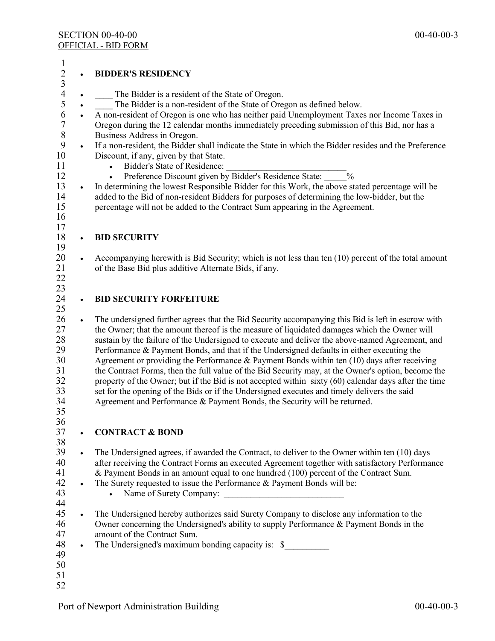| $\frac{1}{2}$ 3 4 5 |           | <b>BIDDER'S RESIDENCY</b>                                                                             |
|---------------------|-----------|-------------------------------------------------------------------------------------------------------|
|                     |           | The Bidder is a resident of the State of Oregon.                                                      |
|                     |           | The Bidder is a non-resident of the State of Oregon as defined below.                                 |
| 6                   |           | A non-resident of Oregon is one who has neither paid Unemployment Taxes nor Income Taxes in           |
| $\overline{7}$      |           | Oregon during the 12 calendar months immediately preceding submission of this Bid, nor has a          |
| $\,8\,$             |           | Business Address in Oregon.                                                                           |
| 9                   | $\bullet$ | If a non-resident, the Bidder shall indicate the State in which the Bidder resides and the Preference |
| 10                  |           | Discount, if any, given by that State.                                                                |
| 11                  |           | Bidder's State of Residence:<br>$\bullet$                                                             |
| 12                  |           | Preference Discount given by Bidder's Residence State:<br>$\frac{0}{0}$                               |
| 13                  | $\bullet$ | In determining the lowest Responsible Bidder for this Work, the above stated percentage will be       |
| 14                  |           | added to the Bid of non-resident Bidders for purposes of determining the low-bidder, but the          |
| 15                  |           | percentage will not be added to the Contract Sum appearing in the Agreement.                          |
| 16                  |           |                                                                                                       |
| 17                  |           |                                                                                                       |
| 18                  | $\bullet$ | <b>BID SECURITY</b>                                                                                   |
| 19                  |           |                                                                                                       |
| 20                  | $\bullet$ | Accompanying herewith is Bid Security; which is not less than ten (10) percent of the total amount    |
| 21                  |           | of the Base Bid plus additive Alternate Bids, if any.                                                 |
| 22                  |           |                                                                                                       |
| 23                  |           |                                                                                                       |
| 24                  | $\bullet$ | <b>BID SECURITY FORFEITURE</b>                                                                        |
| 25                  |           |                                                                                                       |
| 26                  | $\bullet$ | The undersigned further agrees that the Bid Security accompanying this Bid is left in escrow with     |
| 27                  |           | the Owner; that the amount thereof is the measure of liquidated damages which the Owner will          |
| 28                  |           | sustain by the failure of the Undersigned to execute and deliver the above-named Agreement, and       |
| 29                  |           | Performance & Payment Bonds, and that if the Undersigned defaults in either executing the             |
| 30                  |           | Agreement or providing the Performance & Payment Bonds within ten (10) days after receiving           |
| 31                  |           | the Contract Forms, then the full value of the Bid Security may, at the Owner's option, become the    |
| 32                  |           | property of the Owner; but if the Bid is not accepted within sixty (60) calendar days after the time  |
| 33                  |           | set for the opening of the Bids or if the Undersigned executes and timely delivers the said           |
| 34                  |           | Agreement and Performance & Payment Bonds, the Security will be returned.                             |
| 35                  |           |                                                                                                       |
| 36                  |           |                                                                                                       |
| 37                  |           | <b>CONTRACT &amp; BOND</b>                                                                            |
| 38                  |           |                                                                                                       |
| 39                  | $\bullet$ | The Undersigned agrees, if awarded the Contract, to deliver to the Owner within ten (10) days         |
| 40                  |           | after receiving the Contract Forms an executed Agreement together with satisfactory Performance       |
| 41                  |           | & Payment Bonds in an amount equal to one hundred (100) percent of the Contract Sum.                  |
| 42                  | $\bullet$ | The Surety requested to issue the Performance & Payment Bonds will be:                                |
| 43                  |           |                                                                                                       |
| 44                  |           |                                                                                                       |
| 45                  |           | The Undersigned hereby authorizes said Surety Company to disclose any information to the              |
| 46                  |           | Owner concerning the Undersigned's ability to supply Performance & Payment Bonds in the               |
| 47                  |           | amount of the Contract Sum.                                                                           |
| 48<br>49            | $\bullet$ | The Undersigned's maximum bonding capacity is: \$                                                     |
| 50                  |           |                                                                                                       |
| 51                  |           |                                                                                                       |
|                     |           |                                                                                                       |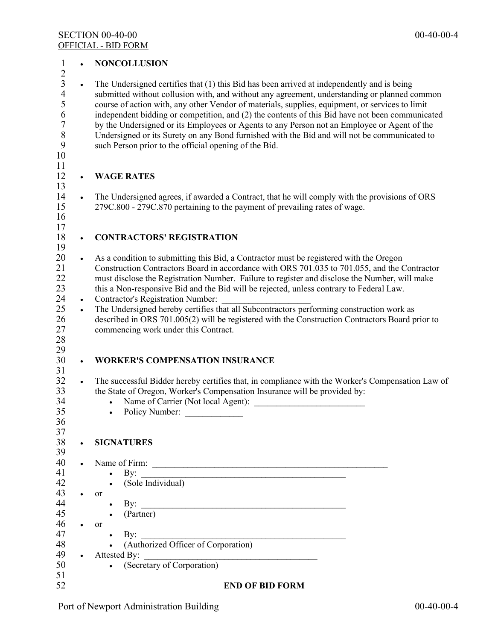| $\mathbf{1}$                                                                                                     |                        | <b>NONCOLLUSION</b>                                                                                                                                                                                                                                                                                                                                                                                                                                                                                                                                                                                                                                      |
|------------------------------------------------------------------------------------------------------------------|------------------------|----------------------------------------------------------------------------------------------------------------------------------------------------------------------------------------------------------------------------------------------------------------------------------------------------------------------------------------------------------------------------------------------------------------------------------------------------------------------------------------------------------------------------------------------------------------------------------------------------------------------------------------------------------|
| $\overline{c}$<br>$\overline{\mathbf{3}}$<br>$\overline{\mathbf{4}}$<br>5<br>6<br>$\overline{7}$<br>8<br>9<br>10 | $\bullet$              | The Undersigned certifies that (1) this Bid has been arrived at independently and is being<br>submitted without collusion with, and without any agreement, understanding or planned common<br>course of action with, any other Vendor of materials, supplies, equipment, or services to limit<br>independent bidding or competition, and (2) the contents of this Bid have not been communicated<br>by the Undersigned or its Employees or Agents to any Person not an Employee or Agent of the<br>Undersigned or its Surety on any Bond furnished with the Bid and will not be communicated to<br>such Person prior to the official opening of the Bid. |
| 11<br>12                                                                                                         |                        | <b>WAGE RATES</b>                                                                                                                                                                                                                                                                                                                                                                                                                                                                                                                                                                                                                                        |
| 13<br>14<br>15<br>16<br>17                                                                                       | $\bullet$              | The Undersigned agrees, if awarded a Contract, that he will comply with the provisions of ORS<br>279C.800 - 279C.870 pertaining to the payment of prevailing rates of wage.                                                                                                                                                                                                                                                                                                                                                                                                                                                                              |
| 18<br>19                                                                                                         | $\bullet$              | <b>CONTRACTORS' REGISTRATION</b>                                                                                                                                                                                                                                                                                                                                                                                                                                                                                                                                                                                                                         |
| 20<br>21<br>22<br>23<br>24                                                                                       | $\bullet$<br>$\bullet$ | As a condition to submitting this Bid, a Contractor must be registered with the Oregon<br>Construction Contractors Board in accordance with ORS 701.035 to 701.055, and the Contractor<br>must disclose the Registration Number. Failure to register and disclose the Number, will make<br>this a Non-responsive Bid and the Bid will be rejected, unless contrary to Federal Law.<br><b>Contractor's Registration Number:</b>                                                                                                                                                                                                                           |
| 25<br>26<br>27<br>$28\,$<br>29                                                                                   | $\bullet$              | The Undersigned hereby certifies that all Subcontractors performing construction work as<br>described in ORS 701.005(2) will be registered with the Construction Contractors Board prior to<br>commencing work under this Contract.                                                                                                                                                                                                                                                                                                                                                                                                                      |
| 30<br>31                                                                                                         |                        | <b>WORKER'S COMPENSATION INSURANCE</b>                                                                                                                                                                                                                                                                                                                                                                                                                                                                                                                                                                                                                   |
| 32<br>33<br>34<br>35<br>36<br>37                                                                                 | $\bullet$              | The successful Bidder hereby certifies that, in compliance with the Worker's Compensation Law of<br>the State of Oregon, Worker's Compensation Insurance will be provided by:<br>Policy Number:<br>$\bullet$                                                                                                                                                                                                                                                                                                                                                                                                                                             |
| 38<br>39                                                                                                         | $\bullet$              | <b>SIGNATURES</b>                                                                                                                                                                                                                                                                                                                                                                                                                                                                                                                                                                                                                                        |
| 40<br>41<br>42                                                                                                   |                        | By: $\qquad \qquad$<br>$\bullet$<br>$\bullet$ (Sole Individual)                                                                                                                                                                                                                                                                                                                                                                                                                                                                                                                                                                                          |
| 43<br>44<br>45<br>46                                                                                             | $\bullet$<br>$\bullet$ | <b>or</b><br>By: $\overline{\phantom{a}}$<br>(Partner)<br>$\bullet$<br>or                                                                                                                                                                                                                                                                                                                                                                                                                                                                                                                                                                                |
| 47<br>48                                                                                                         |                        | $\rm\,By:$<br>$\bullet$<br>(Authorized Officer of Corporation)                                                                                                                                                                                                                                                                                                                                                                                                                                                                                                                                                                                           |
| 49<br>50<br>51                                                                                                   |                        | $\bullet$ Attested By:<br><u> Alexandria de la contrada de la contrada de la contrada de la contrada de la contrada de la contrada de la c</u><br>(Secretary of Corporation)<br>$\bullet$                                                                                                                                                                                                                                                                                                                                                                                                                                                                |
| 52                                                                                                               |                        | <b>END OF BID FORM</b>                                                                                                                                                                                                                                                                                                                                                                                                                                                                                                                                                                                                                                   |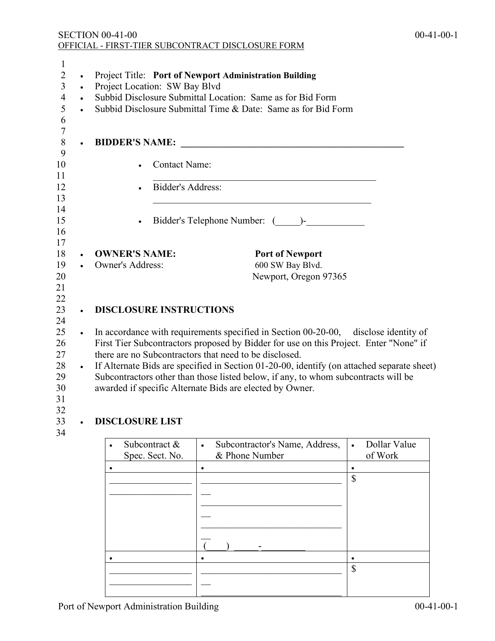| 1<br>$\overline{2}$<br>3<br>$\overline{4}$<br>5<br>6<br>$\overline{7}$ | $\bullet$<br>$\bullet$<br>$\bullet$ | Project Title: Port of Newport Administration Building<br>Project Location: SW Bay Blvd<br>Subbid Disclosure Submittal Location: Same as for Bid Form<br>Subbid Disclosure Submittal Time & Date: Same as for Bid Form |                                                                                            |  |  |
|------------------------------------------------------------------------|-------------------------------------|------------------------------------------------------------------------------------------------------------------------------------------------------------------------------------------------------------------------|--------------------------------------------------------------------------------------------|--|--|
| $\,8\,$                                                                |                                     | <b>BIDDER'S NAME:</b>                                                                                                                                                                                                  |                                                                                            |  |  |
| 9<br>10<br>11                                                          |                                     | <b>Contact Name:</b>                                                                                                                                                                                                   |                                                                                            |  |  |
| 12                                                                     |                                     | Bidder's Address:                                                                                                                                                                                                      |                                                                                            |  |  |
| 13<br>14                                                               |                                     |                                                                                                                                                                                                                        |                                                                                            |  |  |
| 15                                                                     |                                     | $\bullet$                                                                                                                                                                                                              | Bidder's Telephone Number: ( )-                                                            |  |  |
| 16                                                                     |                                     |                                                                                                                                                                                                                        |                                                                                            |  |  |
| 17<br>18<br>19                                                         |                                     | <b>OWNER'S NAME:</b><br>Owner's Address:                                                                                                                                                                               | <b>Port of Newport</b><br>600 SW Bay Blvd.                                                 |  |  |
| 20<br>21                                                               |                                     |                                                                                                                                                                                                                        | Newport, Oregon 97365                                                                      |  |  |
| 22<br>23<br>24                                                         |                                     | <b>DISCLOSURE INSTRUCTIONS</b>                                                                                                                                                                                         |                                                                                            |  |  |
| 25                                                                     |                                     |                                                                                                                                                                                                                        | In accordance with requirements specified in Section 00-20-00, disclose identity of        |  |  |
| 26                                                                     |                                     | there are no Subcontractors that need to be disclosed.                                                                                                                                                                 | First Tier Subcontractors proposed by Bidder for use on this Project. Enter "None" if      |  |  |
| 27<br>28                                                               | $\bullet$                           |                                                                                                                                                                                                                        | If Alternate Bids are specified in Section 01-20-00, identify (on attached separate sheet) |  |  |
| 29<br>30                                                               |                                     | awarded if specific Alternate Bids are elected by Owner.                                                                                                                                                               | Subcontractors other than those listed below, if any, to whom subcontracts will be         |  |  |

- 31
- 32<br>33

# 33 • **DISCLOSURE LIST**

34

| Subcontract &<br>Spec. Sect. No. | $\bullet$ | Subcontractor's Name, Address,<br>& Phone Number | $\bullet$ | Dollar Value<br>of Work |
|----------------------------------|-----------|--------------------------------------------------|-----------|-------------------------|
|                                  | ٠         |                                                  |           |                         |
|                                  |           |                                                  | \$        |                         |
|                                  |           |                                                  |           |                         |
|                                  |           |                                                  |           |                         |
|                                  |           |                                                  |           |                         |
|                                  |           |                                                  |           |                         |
|                                  |           |                                                  |           |                         |
|                                  |           |                                                  |           |                         |
|                                  |           |                                                  | \$        |                         |
|                                  |           |                                                  |           |                         |
|                                  |           |                                                  |           |                         |